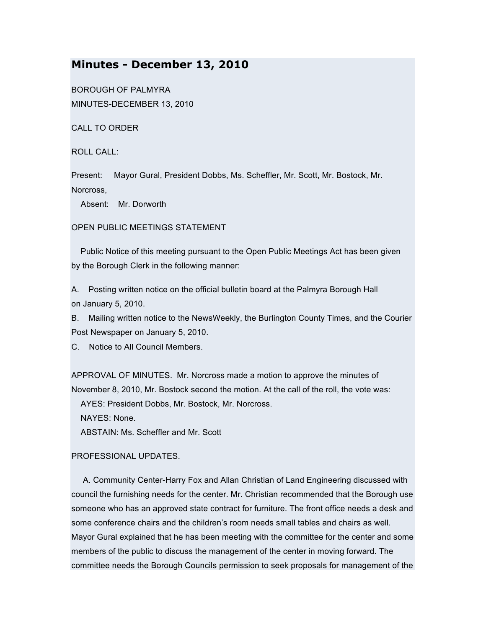# **Minutes - December 13, 2010**

BOROUGH OF PALMYRA MINUTES-DECEMBER 13, 2010

CALL TO ORDER

ROLL CALL:

Present: Mayor Gural, President Dobbs, Ms. Scheffler, Mr. Scott, Mr. Bostock, Mr. Norcross,

Absent: Mr. Dorworth

OPEN PUBLIC MEETINGS STATEMENT

Public Notice of this meeting pursuant to the Open Public Meetings Act has been given by the Borough Clerk in the following manner:

A. Posting written notice on the official bulletin board at the Palmyra Borough Hall on January 5, 2010.

B. Mailing written notice to the NewsWeekly, the Burlington County Times, and the Courier Post Newspaper on January 5, 2010.

C. Notice to All Council Members.

APPROVAL OF MINUTES. Mr. Norcross made a motion to approve the minutes of November 8, 2010, Mr. Bostock second the motion. At the call of the roll, the vote was:

AYES: President Dobbs, Mr. Bostock, Mr. Norcross.

NAYES: None.

ABSTAIN: Ms. Scheffler and Mr. Scott

# PROFESSIONAL UPDATES.

A. Community Center-Harry Fox and Allan Christian of Land Engineering discussed with council the furnishing needs for the center. Mr. Christian recommended that the Borough use someone who has an approved state contract for furniture. The front office needs a desk and some conference chairs and the children's room needs small tables and chairs as well. Mayor Gural explained that he has been meeting with the committee for the center and some members of the public to discuss the management of the center in moving forward. The committee needs the Borough Councils permission to seek proposals for management of the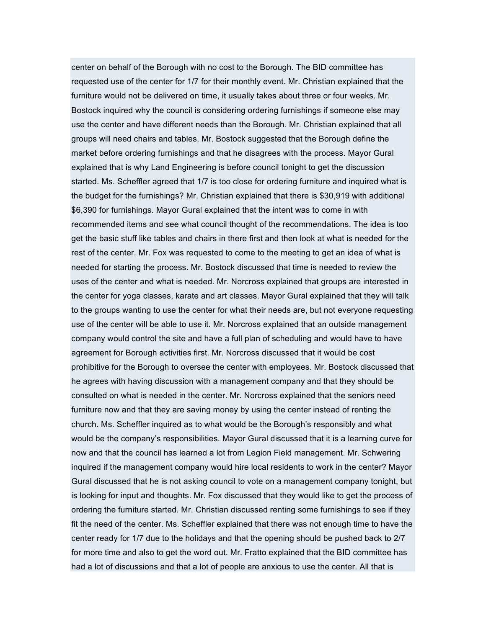center on behalf of the Borough with no cost to the Borough. The BID committee has requested use of the center for 1/7 for their monthly event. Mr. Christian explained that the furniture would not be delivered on time, it usually takes about three or four weeks. Mr. Bostock inquired why the council is considering ordering furnishings if someone else may use the center and have different needs than the Borough. Mr. Christian explained that all groups will need chairs and tables. Mr. Bostock suggested that the Borough define the market before ordering furnishings and that he disagrees with the process. Mayor Gural explained that is why Land Engineering is before council tonight to get the discussion started. Ms. Scheffler agreed that 1/7 is too close for ordering furniture and inquired what is the budget for the furnishings? Mr. Christian explained that there is \$30,919 with additional \$6,390 for furnishings. Mayor Gural explained that the intent was to come in with recommended items and see what council thought of the recommendations. The idea is too get the basic stuff like tables and chairs in there first and then look at what is needed for the rest of the center. Mr. Fox was requested to come to the meeting to get an idea of what is needed for starting the process. Mr. Bostock discussed that time is needed to review the uses of the center and what is needed. Mr. Norcross explained that groups are interested in the center for yoga classes, karate and art classes. Mayor Gural explained that they will talk to the groups wanting to use the center for what their needs are, but not everyone requesting use of the center will be able to use it. Mr. Norcross explained that an outside management company would control the site and have a full plan of scheduling and would have to have agreement for Borough activities first. Mr. Norcross discussed that it would be cost prohibitive for the Borough to oversee the center with employees. Mr. Bostock discussed that he agrees with having discussion with a management company and that they should be consulted on what is needed in the center. Mr. Norcross explained that the seniors need furniture now and that they are saving money by using the center instead of renting the church. Ms. Scheffler inquired as to what would be the Borough's responsibly and what would be the company's responsibilities. Mayor Gural discussed that it is a learning curve for now and that the council has learned a lot from Legion Field management. Mr. Schwering inquired if the management company would hire local residents to work in the center? Mayor Gural discussed that he is not asking council to vote on a management company tonight, but is looking for input and thoughts. Mr. Fox discussed that they would like to get the process of ordering the furniture started. Mr. Christian discussed renting some furnishings to see if they fit the need of the center. Ms. Scheffler explained that there was not enough time to have the center ready for 1/7 due to the holidays and that the opening should be pushed back to 2/7 for more time and also to get the word out. Mr. Fratto explained that the BID committee has had a lot of discussions and that a lot of people are anxious to use the center. All that is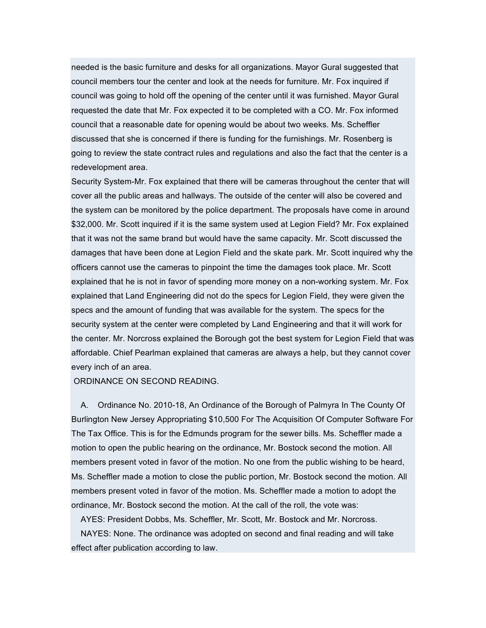needed is the basic furniture and desks for all organizations. Mayor Gural suggested that council members tour the center and look at the needs for furniture. Mr. Fox inquired if council was going to hold off the opening of the center until it was furnished. Mayor Gural requested the date that Mr. Fox expected it to be completed with a CO. Mr. Fox informed council that a reasonable date for opening would be about two weeks. Ms. Scheffler discussed that she is concerned if there is funding for the furnishings. Mr. Rosenberg is going to review the state contract rules and regulations and also the fact that the center is a redevelopment area.

Security System-Mr. Fox explained that there will be cameras throughout the center that will cover all the public areas and hallways. The outside of the center will also be covered and the system can be monitored by the police department. The proposals have come in around \$32,000. Mr. Scott inquired if it is the same system used at Legion Field? Mr. Fox explained that it was not the same brand but would have the same capacity. Mr. Scott discussed the damages that have been done at Legion Field and the skate park. Mr. Scott inquired why the officers cannot use the cameras to pinpoint the time the damages took place. Mr. Scott explained that he is not in favor of spending more money on a non-working system. Mr. Fox explained that Land Engineering did not do the specs for Legion Field, they were given the specs and the amount of funding that was available for the system. The specs for the security system at the center were completed by Land Engineering and that it will work for the center. Mr. Norcross explained the Borough got the best system for Legion Field that was affordable. Chief Pearlman explained that cameras are always a help, but they cannot cover every inch of an area.

ORDINANCE ON SECOND READING.

A. Ordinance No. 2010-18, An Ordinance of the Borough of Palmyra In The County Of Burlington New Jersey Appropriating \$10,500 For The Acquisition Of Computer Software For The Tax Office. This is for the Edmunds program for the sewer bills. Ms. Scheffler made a motion to open the public hearing on the ordinance, Mr. Bostock second the motion. All members present voted in favor of the motion. No one from the public wishing to be heard, Ms. Scheffler made a motion to close the public portion, Mr. Bostock second the motion. All members present voted in favor of the motion. Ms. Scheffler made a motion to adopt the ordinance, Mr. Bostock second the motion. At the call of the roll, the vote was:

AYES: President Dobbs, Ms. Scheffler, Mr. Scott, Mr. Bostock and Mr. Norcross. NAYES: None. The ordinance was adopted on second and final reading and will take effect after publication according to law.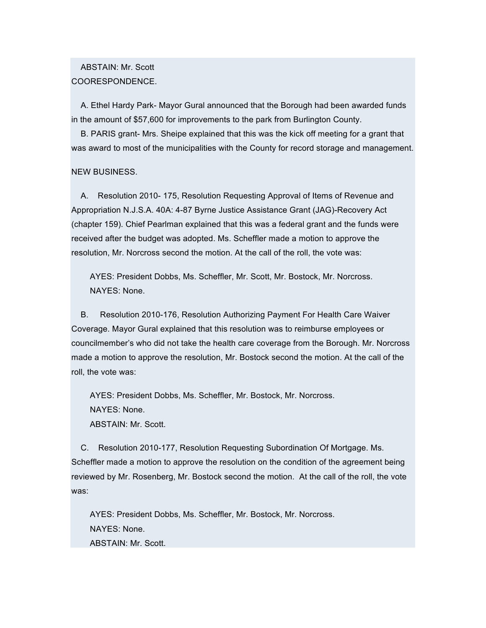# ABSTAIN: Mr. Scott COORESPONDENCE.

A. Ethel Hardy Park- Mayor Gural announced that the Borough had been awarded funds in the amount of \$57,600 for improvements to the park from Burlington County.

B. PARIS grant- Mrs. Sheipe explained that this was the kick off meeting for a grant that was award to most of the municipalities with the County for record storage and management.

# NEW BUSINESS.

A. Resolution 2010- 175, Resolution Requesting Approval of Items of Revenue and Appropriation N.J.S.A. 40A: 4-87 Byrne Justice Assistance Grant (JAG)-Recovery Act (chapter 159). Chief Pearlman explained that this was a federal grant and the funds were received after the budget was adopted. Ms. Scheffler made a motion to approve the resolution, Mr. Norcross second the motion. At the call of the roll, the vote was:

AYES: President Dobbs, Ms. Scheffler, Mr. Scott, Mr. Bostock, Mr. Norcross. NAYES: None.

B. Resolution 2010-176, Resolution Authorizing Payment For Health Care Waiver Coverage. Mayor Gural explained that this resolution was to reimburse employees or councilmember's who did not take the health care coverage from the Borough. Mr. Norcross made a motion to approve the resolution, Mr. Bostock second the motion. At the call of the roll, the vote was:

AYES: President Dobbs, Ms. Scheffler, Mr. Bostock, Mr. Norcross. NAYES: None. ABSTAIN: Mr. Scott.

C. Resolution 2010-177, Resolution Requesting Subordination Of Mortgage. Ms. Scheffler made a motion to approve the resolution on the condition of the agreement being reviewed by Mr. Rosenberg, Mr. Bostock second the motion. At the call of the roll, the vote was:

AYES: President Dobbs, Ms. Scheffler, Mr. Bostock, Mr. Norcross. NAYES: None. ABSTAIN: Mr. Scott.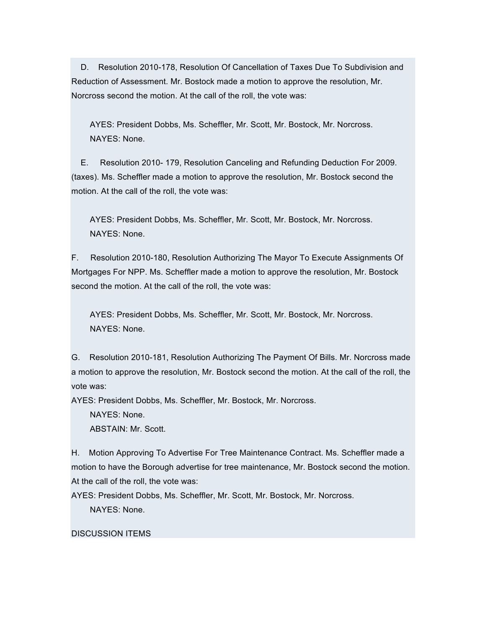D. Resolution 2010-178, Resolution Of Cancellation of Taxes Due To Subdivision and Reduction of Assessment. Mr. Bostock made a motion to approve the resolution, Mr. Norcross second the motion. At the call of the roll, the vote was:

AYES: President Dobbs, Ms. Scheffler, Mr. Scott, Mr. Bostock, Mr. Norcross. NAYES: None.

E. Resolution 2010- 179, Resolution Canceling and Refunding Deduction For 2009. (taxes). Ms. Scheffler made a motion to approve the resolution, Mr. Bostock second the motion. At the call of the roll, the vote was:

AYES: President Dobbs, Ms. Scheffler, Mr. Scott, Mr. Bostock, Mr. Norcross. NAYES: None.

F. Resolution 2010-180, Resolution Authorizing The Mayor To Execute Assignments Of Mortgages For NPP. Ms. Scheffler made a motion to approve the resolution, Mr. Bostock second the motion. At the call of the roll, the vote was:

AYES: President Dobbs, Ms. Scheffler, Mr. Scott, Mr. Bostock, Mr. Norcross. NAYES: None.

G. Resolution 2010-181, Resolution Authorizing The Payment Of Bills. Mr. Norcross made a motion to approve the resolution, Mr. Bostock second the motion. At the call of the roll, the vote was:

AYES: President Dobbs, Ms. Scheffler, Mr. Bostock, Mr. Norcross.

NAYES: None.

ABSTAIN: Mr. Scott.

H. Motion Approving To Advertise For Tree Maintenance Contract. Ms. Scheffler made a motion to have the Borough advertise for tree maintenance, Mr. Bostock second the motion. At the call of the roll, the vote was:

AYES: President Dobbs, Ms. Scheffler, Mr. Scott, Mr. Bostock, Mr. Norcross.

NAYES: None.

# DISCUSSION ITEMS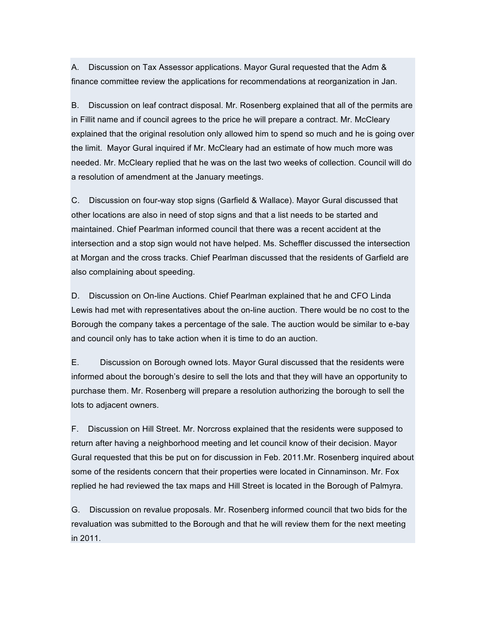A. Discussion on Tax Assessor applications. Mayor Gural requested that the Adm & finance committee review the applications for recommendations at reorganization in Jan.

B. Discussion on leaf contract disposal. Mr. Rosenberg explained that all of the permits are in Fillit name and if council agrees to the price he will prepare a contract. Mr. McCleary explained that the original resolution only allowed him to spend so much and he is going over the limit. Mayor Gural inquired if Mr. McCleary had an estimate of how much more was needed. Mr. McCleary replied that he was on the last two weeks of collection. Council will do a resolution of amendment at the January meetings.

C. Discussion on four-way stop signs (Garfield & Wallace). Mayor Gural discussed that other locations are also in need of stop signs and that a list needs to be started and maintained. Chief Pearlman informed council that there was a recent accident at the intersection and a stop sign would not have helped. Ms. Scheffler discussed the intersection at Morgan and the cross tracks. Chief Pearlman discussed that the residents of Garfield are also complaining about speeding.

D. Discussion on On-line Auctions. Chief Pearlman explained that he and CFO Linda Lewis had met with representatives about the on-line auction. There would be no cost to the Borough the company takes a percentage of the sale. The auction would be similar to e-bay and council only has to take action when it is time to do an auction.

E. Discussion on Borough owned lots. Mayor Gural discussed that the residents were informed about the borough's desire to sell the lots and that they will have an opportunity to purchase them. Mr. Rosenberg will prepare a resolution authorizing the borough to sell the lots to adjacent owners.

F. Discussion on Hill Street. Mr. Norcross explained that the residents were supposed to return after having a neighborhood meeting and let council know of their decision. Mayor Gural requested that this be put on for discussion in Feb. 2011.Mr. Rosenberg inquired about some of the residents concern that their properties were located in Cinnaminson. Mr. Fox replied he had reviewed the tax maps and Hill Street is located in the Borough of Palmyra.

G. Discussion on revalue proposals. Mr. Rosenberg informed council that two bids for the revaluation was submitted to the Borough and that he will review them for the next meeting in 2011.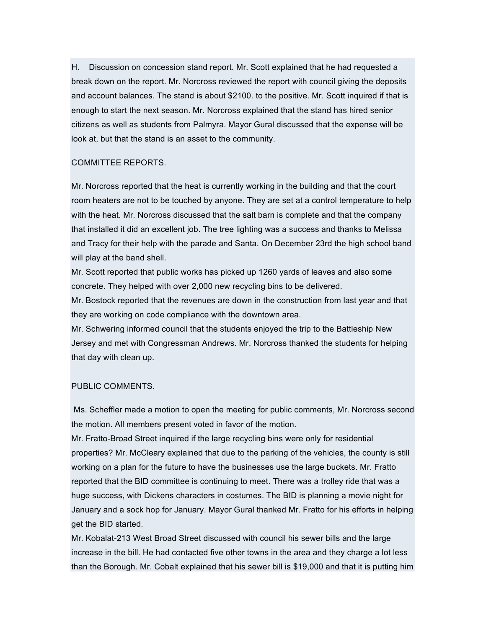H. Discussion on concession stand report. Mr. Scott explained that he had requested a break down on the report. Mr. Norcross reviewed the report with council giving the deposits and account balances. The stand is about \$2100. to the positive. Mr. Scott inquired if that is enough to start the next season. Mr. Norcross explained that the stand has hired senior citizens as well as students from Palmyra. Mayor Gural discussed that the expense will be look at, but that the stand is an asset to the community.

#### COMMITTEE REPORTS.

Mr. Norcross reported that the heat is currently working in the building and that the court room heaters are not to be touched by anyone. They are set at a control temperature to help with the heat. Mr. Norcross discussed that the salt barn is complete and that the company that installed it did an excellent job. The tree lighting was a success and thanks to Melissa and Tracy for their help with the parade and Santa. On December 23rd the high school band will play at the band shell.

Mr. Scott reported that public works has picked up 1260 yards of leaves and also some concrete. They helped with over 2,000 new recycling bins to be delivered.

Mr. Bostock reported that the revenues are down in the construction from last year and that they are working on code compliance with the downtown area.

Mr. Schwering informed council that the students enjoyed the trip to the Battleship New Jersey and met with Congressman Andrews. Mr. Norcross thanked the students for helping that day with clean up.

# PUBLIC COMMENTS.

Ms. Scheffler made a motion to open the meeting for public comments, Mr. Norcross second the motion. All members present voted in favor of the motion.

Mr. Fratto-Broad Street inquired if the large recycling bins were only for residential properties? Mr. McCleary explained that due to the parking of the vehicles, the county is still working on a plan for the future to have the businesses use the large buckets. Mr. Fratto reported that the BID committee is continuing to meet. There was a trolley ride that was a huge success, with Dickens characters in costumes. The BID is planning a movie night for January and a sock hop for January. Mayor Gural thanked Mr. Fratto for his efforts in helping get the BID started.

Mr. Kobalat-213 West Broad Street discussed with council his sewer bills and the large increase in the bill. He had contacted five other towns in the area and they charge a lot less than the Borough. Mr. Cobalt explained that his sewer bill is \$19,000 and that it is putting him